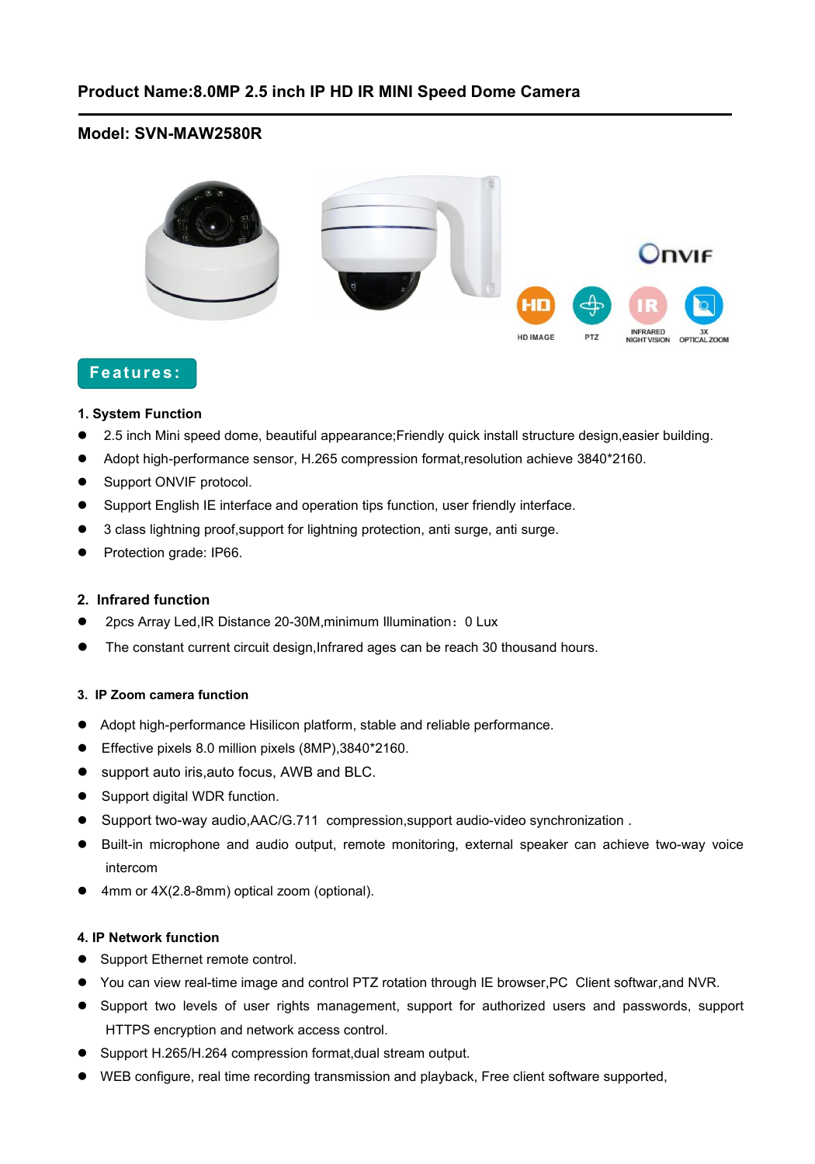# **Model: SVN-MAW2580R**



# **Features:**

#### **1. System Function**

- 2.5 inch Mini speed dome, beautiful appearance;Friendly quick install structure design,easier building.
- Adopt high-performance sensor, H.265 compression format,resolution achieve 3840\*2160.
- **Support ONVIF protocol.**
- Support English IE interface and operation tips function, user friendly interface.
- 3 class lightning proof,support for lightning protection, anti surge, anti surge.
- Protection grade: IP66.

### **2. Infrared function**

- 2pcs Array Led,IR Distance 20-30M,minimum Illumination:0 Lux
- The constant current circuit design,Infrared ages can be reach 30 thousand hours.

#### **3. IP Zoom camera function**

- Adopt high-performance Hisilicon platform, stable and reliable performance.
- Effective pixels 8.0 million pixels (8MP),3840\*2160.
- support auto iris, auto focus, AWB and BLC.
- Support digital WDR function.
- Support two-way audio,AAC/G.711 compression,support audio-video synchronization .
- Built-in microphone and audio output, remote monitoring, external speaker can achieve two-way voice intercom
- 4mm or 4X(2.8-8mm) optical zoom (optional).

#### **4. IP Network function**

- Support Ethernet remote control.
- You can view real-time image and control PTZ rotation through IE browser, PC Client softwar, and NVR.
- Support two levels of user rights management, support for authorized users and passwords, support HTTPS encryption and network access control.
- Support H.265/H.264 compression format,dual stream output.
- WEB configure, realtime recording transmission and playback, Free client software supported,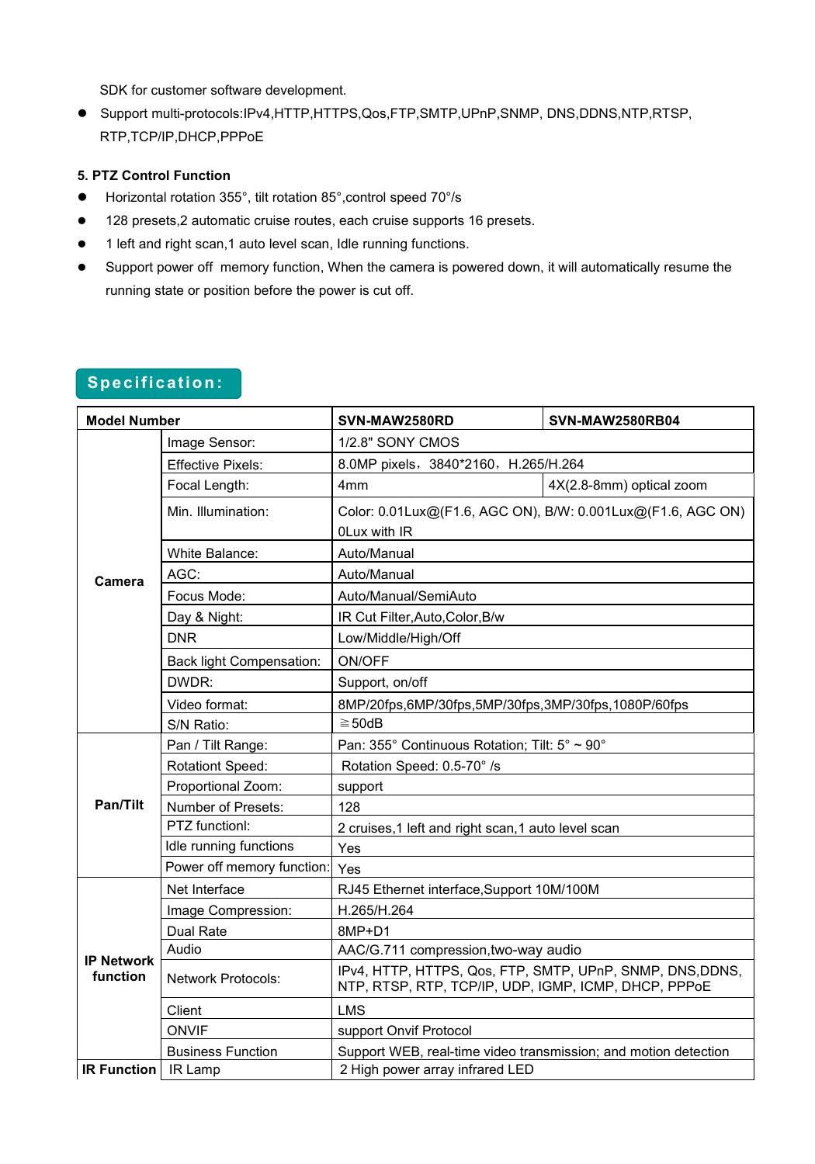SDK for customer software development.

 Support multi-protocols:IPv4,HTTP,HTTPS,Qos,FTP,SMTP,UPnP,SNMP, DNS,DDNS,NTP,RTSP, RTP,TCP/IP,DHCP,PPPoE

## **5. PTZ Control Function**

- Horizontal rotation 355°, tilt rotation 85°,control speed 70°/s
- 128 presets,2 automatic cruise routes, each cruise supports 16 presets.
- 1 left and right scan,1 auto level scan, Idle running functions.
- Support power off memory function, When the camera is powered down, it will automatically resume the running state or position before the power is cut off.

# **Specification:**

| <b>Model Number</b>           |                                 | SVN-MAW2580RD                                                                                                     | <b>SVN-MAW2580RB04</b>   |
|-------------------------------|---------------------------------|-------------------------------------------------------------------------------------------------------------------|--------------------------|
| <b>Camera</b>                 | Image Sensor:                   | 1/2.8" SONY CMOS                                                                                                  |                          |
|                               | <b>Effective Pixels:</b>        | 8.0MP pixels, 3840*2160, H.265/H.264                                                                              |                          |
|                               | Focal Length:                   | 4 <sub>mm</sub>                                                                                                   | 4X(2.8-8mm) optical zoom |
|                               | Min. Illumination:              | Color: 0.01Lux@(F1.6, AGC ON), B/W: 0.001Lux@(F1.6, AGC ON)                                                       |                          |
|                               |                                 | <b>OLux with IR</b>                                                                                               |                          |
|                               | <b>White Balance:</b>           | Auto/Manual                                                                                                       |                          |
|                               | AGC:                            | Auto/Manual                                                                                                       |                          |
|                               | Focus Mode:                     | Auto/Manual/SemiAuto                                                                                              |                          |
|                               | Day & Night:                    | IR Cut Filter, Auto, Color, B/w                                                                                   |                          |
|                               | <b>DNR</b>                      | Low/Middle/High/Off                                                                                               |                          |
|                               | <b>Back light Compensation:</b> | ON/OFF                                                                                                            |                          |
|                               | DWDR:                           | Support, on/off                                                                                                   |                          |
|                               | Video format:                   | 8MP/20fps,6MP/30fps,5MP/30fps,3MP/30fps,1080P/60fps                                                               |                          |
|                               | S/N Ratio:                      | $\geq$ 50dB                                                                                                       |                          |
| Pan/Tilt                      | Pan / Tilt Range:               | Pan: 355° Continuous Rotation; Tilt: 5° ~ 90°                                                                     |                          |
|                               | <b>Rotationt Speed:</b>         | Rotation Speed: 0.5-70° /s                                                                                        |                          |
|                               | Proportional Zoom:              | support                                                                                                           |                          |
|                               | Number of Presets:              | 128                                                                                                               |                          |
|                               | PTZ functionl:                  | 2 cruises, 1 left and right scan, 1 auto level scan                                                               |                          |
|                               | Idle running functions          | Yes                                                                                                               |                          |
|                               | Power off memory function:      | Yes                                                                                                               |                          |
| <b>IP Network</b><br>function | Net Interface                   | RJ45 Ethernet interface, Support 10M/100M                                                                         |                          |
|                               | Image Compression:              | H.265/H.264                                                                                                       |                          |
|                               | Dual Rate                       | 8MP+D1                                                                                                            |                          |
|                               | Audio                           | AAC/G.711 compression, two-way audio                                                                              |                          |
|                               | <b>Network Protocols:</b>       | IPv4, HTTP, HTTPS, Qos, FTP, SMTP, UPnP, SNMP, DNS, DDNS,<br>NTP, RTSP, RTP, TCP/IP, UDP, IGMP, ICMP, DHCP, PPPoE |                          |
|                               | Client                          | <b>LMS</b>                                                                                                        |                          |
|                               | <b>ONVIF</b>                    | support Onvif Protocol                                                                                            |                          |
|                               | <b>Business Function</b>        | Support WEB, real-time video transmission; and motion detection                                                   |                          |
| <b>IR Function</b>   IR Lamp  |                                 | 2 High power array infrared LED                                                                                   |                          |